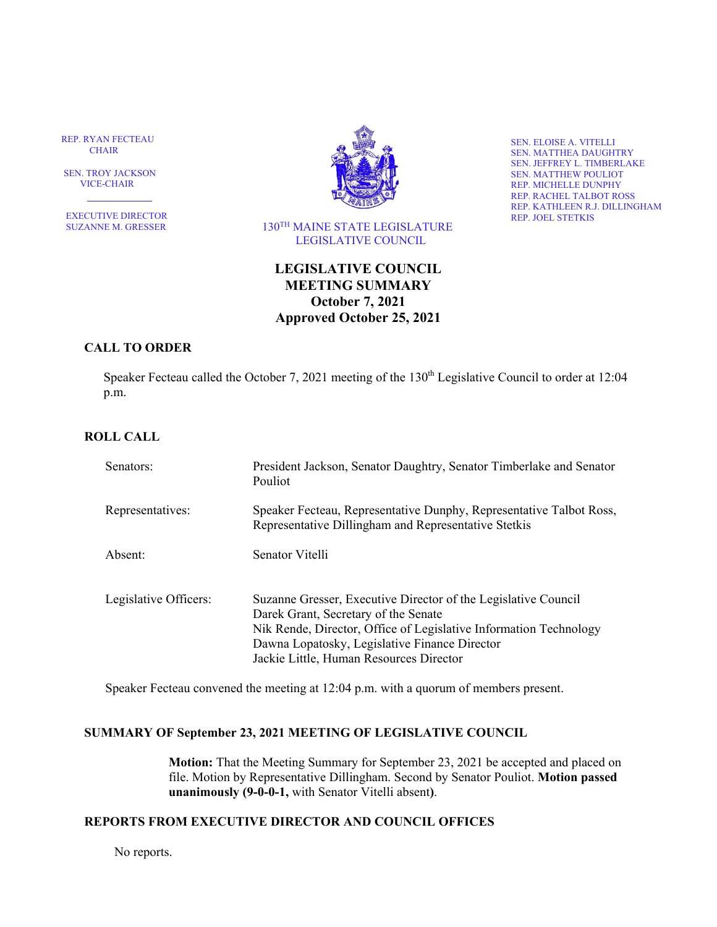REP. RYAN FECTEAU CHAIR

 SEN. TROY JACKSON VICE-CHAIR

EXECUTIVE DIRECTOR<br>SUZANNE M. GRESSER



 $130^{\mathrm{TH}}$  MAINE STATE LEGISLATURE LEGISLATIVE COUNCIL

SEN. ELOISE A. VITELLI SEN. MATTHEA DAUGHTRY SEN. JEFFREY L. TIMBERLAKE SEN. MATTHEW POULIOT REP. MICHELLE DUNPHY REP. RACHEL TALBOT ROSS REP. KATHLEEN R.J. DILLINGHAM REP. JOEL STETKIS

# **LEGISLATIVE COUNCIL MEETING SUMMARY October 7, 2021 Approved October 25, 2021**

## **CALL TO ORDER**

Speaker Fecteau called the October 7, 2021 meeting of the 130<sup>th</sup> Legislative Council to order at 12:04 p.m.

## **ROLL CALL**

| Senators:             | President Jackson, Senator Daughtry, Senator Timberlake and Senator<br>Pouliot                                                                                                                                                                                          |
|-----------------------|-------------------------------------------------------------------------------------------------------------------------------------------------------------------------------------------------------------------------------------------------------------------------|
| Representatives:      | Speaker Fecteau, Representative Dunphy, Representative Talbot Ross,<br>Representative Dillingham and Representative Stetkis                                                                                                                                             |
| Absent:               | Senator Vitelli                                                                                                                                                                                                                                                         |
| Legislative Officers: | Suzanne Gresser, Executive Director of the Legislative Council<br>Darek Grant, Secretary of the Senate<br>Nik Rende, Director, Office of Legislative Information Technology<br>Dawna Lopatosky, Legislative Finance Director<br>Jackie Little, Human Resources Director |

Speaker Fecteau convened the meeting at 12:04 p.m. with a quorum of members present.

#### **SUMMARY OF September 23, 2021 MEETING OF LEGISLATIVE COUNCIL**

**Motion:** That the Meeting Summary for September 23, 2021 be accepted and placed on file. Motion by Representative Dillingham. Second by Senator Pouliot. **Motion passed unanimously (9-0-0-1,** with Senator Vitelli absent**)**.

## **REPORTS FROM EXECUTIVE DIRECTOR AND COUNCIL OFFICES**

No reports.